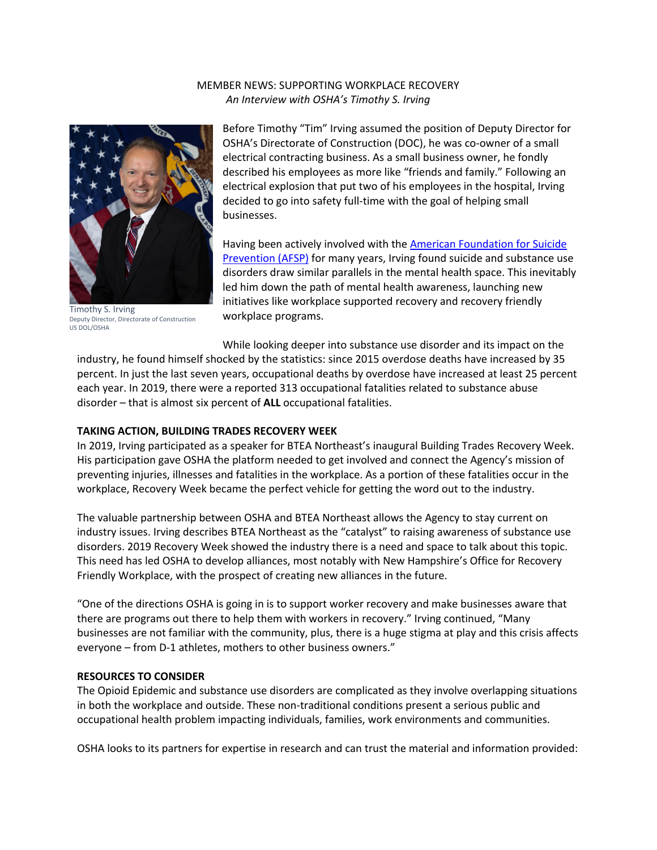## MEMBER NEWS: SUPPORTING WORKPLACE RECOVERY *An Interview with OSHA's Timothy S. Irving*



Timothy S. Irving Deputy Director, Directorate of Construction US DOL/OSHA

Before Timothy "Tim" Irving assumed the position of Deputy Director for OSHA's Directorate of Construction (DOC), he was co-owner of a small electrical contracting business. As a small business owner, he fondly described his employees as more like "friends and family." Following an electrical explosion that put two of his employees in the hospital, Irving decided to go into safety full-time with the goal of helping small businesses.

Having been actively involved with the American Foundation for Suicide Prevention (AFSP) for many years, Irving found suicide and substance use disorders draw similar parallels in the mental health space. This inevitably led him down the path of mental health awareness, launching new initiatives like workplace supported recovery and recovery friendly workplace programs.

While looking deeper into substance use disorder and its impact on the industry, he found himself shocked by the statistics: since 2015 overdose deaths have increased by 35 percent. In just the last seven years, occupational deaths by overdose have increased at least 25 percent each year. In 2019, there were a reported 313 occupational fatalities related to substance abuse disorder – that is almost six percent of **ALL** occupational fatalities.

## **TAKING ACTION, BUILDING TRADES RECOVERY WEEK**

In 2019, Irving participated as a speaker for BTEA Northeast's inaugural Building Trades Recovery Week. His participation gave OSHA the platform needed to get involved and connect the Agency's mission of preventing injuries, illnesses and fatalities in the workplace. As a portion of these fatalities occur in the workplace, Recovery Week became the perfect vehicle for getting the word out to the industry.

The valuable partnership between OSHA and BTEA Northeast allows the Agency to stay current on industry issues. Irving describes BTEA Northeast as the "catalyst" to raising awareness of substance use disorders. 2019 Recovery Week showed the industry there is a need and space to talk about this topic. This need has led OSHA to develop alliances, most notably with New Hampshire's Office for Recovery Friendly Workplace, with the prospect of creating new alliances in the future.

"One of the directions OSHA is going in is to support worker recovery and make businesses aware that there are programs out there to help them with workers in recovery." Irving continued, "Many businesses are not familiar with the community, plus, there is a huge stigma at play and this crisis affects everyone – from D-1 athletes, mothers to other business owners."

## **RESOURCES TO CONSIDER**

The Opioid Epidemic and substance use disorders are complicated as they involve overlapping situations in both the workplace and outside. These non-traditional conditions present a serious public and occupational health problem impacting individuals, families, work environments and communities.

OSHA looks to its partners for expertise in research and can trust the material and information provided: